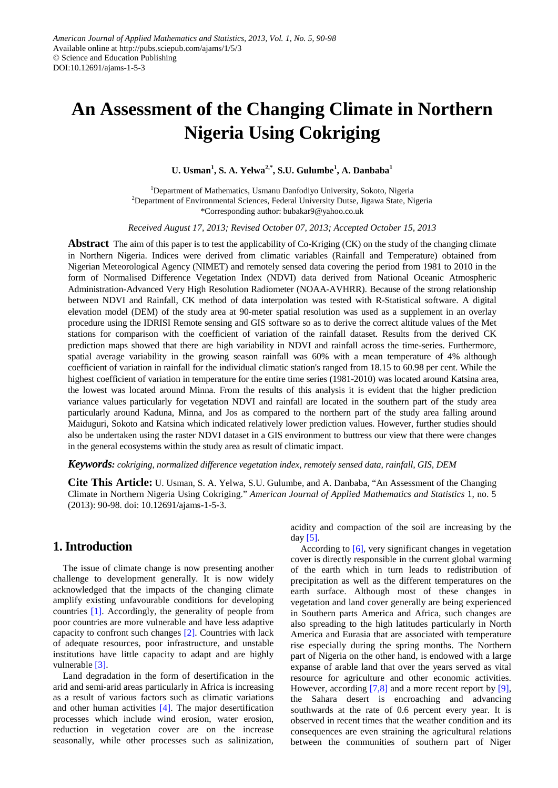# **An Assessment of the Changing Climate in Northern Nigeria Using Cokriging**

### **U. Usman1 , S. A. Yelwa2,\* , S.U. Gulumbe<sup>1</sup> , A. Danbaba<sup>1</sup>**

<sup>1</sup>Department of Mathematics, Usmanu Danfodiyo University, Sokoto, Nigeria <sup>2</sup>Department of Environmental Sciences, Federal University Dutse, Jigawa State, Nigeria \*Corresponding author: bubakar9@yahoo.co.uk

*Received August 17, 2013; Revised October 07, 2013; Accepted October 15, 2013*

**Abstract** The aim of this paper is to test the applicability of Co-Kriging (CK) on the study of the changing climate in Northern Nigeria. Indices were derived from climatic variables (Rainfall and Temperature) obtained from Nigerian Meteorological Agency (NIMET) and remotely sensed data covering the period from 1981 to 2010 in the form of Normalised Difference Vegetation Index (NDVI) data derived from National Oceanic Atmospheric Administration-Advanced Very High Resolution Radiometer (NOAA-AVHRR). Because of the strong relationship between NDVI and Rainfall, CK method of data interpolation was tested with R-Statistical software. A digital elevation model (DEM) of the study area at 90-meter spatial resolution was used as a supplement in an overlay procedure using the IDRISI Remote sensing and GIS software so as to derive the correct altitude values of the Met stations for comparison with the coefficient of variation of the rainfall dataset. Results from the derived CK prediction maps showed that there are high variability in NDVI and rainfall across the time-series. Furthermore, spatial average variability in the growing season rainfall was 60% with a mean temperature of 4% although coefficient of variation in rainfall for the individual climatic station's ranged from 18.15 to 60.98 per cent. While the highest coefficient of variation in temperature for the entire time series (1981-2010) was located around Katsina area, the lowest was located around Minna. From the results of this analysis it is evident that the higher prediction variance values particularly for vegetation NDVI and rainfall are located in the southern part of the study area particularly around Kaduna, Minna, and Jos as compared to the northern part of the study area falling around Maiduguri, Sokoto and Katsina which indicated relatively lower prediction values. However, further studies should also be undertaken using the raster NDVI dataset in a GIS environment to buttress our view that there were changes in the general ecosystems within the study area as result of climatic impact.

*Keywords: cokriging, normalized difference vegetation index, remotely sensed data, rainfall, GIS, DEM*

**Cite This Article:** U. Usman, S. A. Yelwa, S.U. Gulumbe, and A. Danbaba, "An Assessment of the Changing Climate in Northern Nigeria Using Cokriging." *American Journal of Applied Mathematics and Statistics* 1, no. 5 (2013): 90-98. doi: 10.12691/ajams-1-5-3.

## **1. Introduction**

The issue of climate change is now presenting another challenge to development generally. It is now widely acknowledged that the impacts of the changing climate amplify existing unfavourable conditions for developing countries [\[1\].](#page-6-0) Accordingly, the generality of people from poor countries are more vulnerable and have less adaptive capacity to confront such changes [\[2\].](#page-6-1) Countries with lack of adequate resources, poor infrastructure, and unstable institutions have little capacity to adapt and are highly vulnerable [\[3\].](#page-7-0)

Land degradation in the form of desertification in the arid and semi-arid areas particularly in Africa is increasing as a result of various factors such as climatic variations and other human activities  $[4]$ . The major desertification processes which include wind erosion, water erosion, reduction in vegetation cover are on the increase seasonally, while other processes such as salinization,

acidity and compaction of the soil are increasing by the day [\[5\].](#page-7-2)

According to [\[6\],](#page-7-3) very significant changes in vegetation cover is directly responsible in the current global warming of the earth which in turn leads to redistribution of precipitation as well as the different temperatures on the earth surface. Although most of these changes in vegetation and land cover generally are being experienced in Southern parts America and Africa, such changes are also spreading to the high latitudes particularly in North America and Eurasia that are associated with temperature rise especially during the spring months. The Northern part of Nigeria on the other hand, is endowed with a large expanse of arable land that over the years served as vital resource for agriculture and other economic activities. However, according [\[7,8\]](#page-7-4) and a more recent report by [\[9\],](#page-7-5) the Sahara desert is encroaching and advancing southwards at the rate of 0.6 percent every year. It is observed in recent times that the weather condition and its consequences are even straining the agricultural relations between the communities of southern part of Niger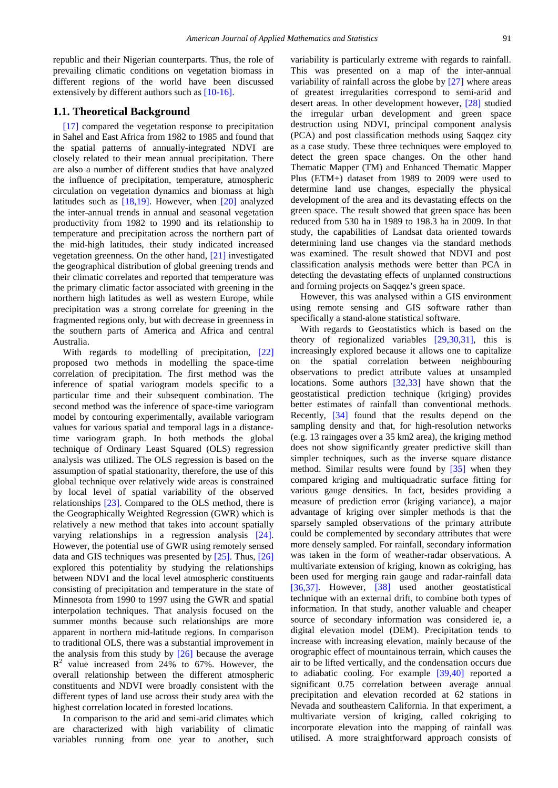republic and their Nigerian counterparts. Thus, the role of prevailing climatic conditions on vegetation biomass in different regions of the world have been discussed extensively by different authors such as [\[10-16\].](#page-7-6)

#### **1.1. Theoretical Background**

[\[17\]](#page-7-7) compared the vegetation response to precipitation in Sahel and East Africa from 1982 to 1985 and found that the spatial patterns of annually-integrated NDVI are closely related to their mean annual precipitation. There are also a number of different studies that have analyzed the influence of precipitation, temperature, atmospheric circulation on vegetation dynamics and biomass at high latitudes such as  $[18,19]$ . However, when  $[20]$  analyzed the inter-annual trends in annual and seasonal vegetation productivity from 1982 to 1990 and its relationship to temperature and precipitation across the northern part of the mid-high latitudes, their study indicated increased vegetation greenness. On the other hand, [\[21\]](#page-7-10) investigated the geographical distribution of global greening trends and their climatic correlates and reported that temperature was the primary climatic factor associated with greening in the northern high latitudes as well as western Europe, while precipitation was a strong correlate for greening in the fragmented regions only, but with decrease in greenness in the southern parts of America and Africa and central Australia.

With regards to modelling of precipitation, [\[22\]](#page-7-11) proposed two methods in modelling the space-time correlation of precipitation. The first method was the inference of spatial variogram models specific to a particular time and their subsequent combination. The second method was the inference of space-time variogram model by contouring experimentally, available variogram values for various spatial and temporal lags in a distancetime variogram graph. In both methods the global technique of Ordinary Least Squared (OLS) regression analysis was utilized. The OLS regression is based on the assumption of spatial stationarity, therefore, the use of this global technique over relatively wide areas is constrained by local level of spatial variability of the observed relationships [\[23\].](#page-7-12) Compared to the OLS method, there is the Geographically Weighted Regression (GWR) which is relatively a new method that takes into account spatially varying relationships in a regression analysis [\[24\].](#page-7-13) However, the potential use of GWR using remotely sensed data and GIS techniques was presented b[y \[25\].](#page-7-14) Thus, [\[26\]](#page-7-15) explored this potentiality by studying the relationships between NDVI and the local level atmospheric constituents consisting of precipitation and temperature in the state of Minnesota from 1990 to 1997 using the GWR and spatial interpolation techniques. That analysis focused on the summer months because such relationships are more apparent in northern mid-latitude regions. In comparison to traditional OLS, there was a substantial improvement in the analysis from this study by [\[26\]](#page-7-15) because the average  $R^2$  value increased from 24% to 67%. However, the overall relationship between the different atmospheric constituents and NDVI were broadly consistent with the different types of land use across their study area with the highest correlation located in forested locations.

In comparison to the arid and semi-arid climates which are characterized with high variability of climatic variables running from one year to another, such variability is particularly extreme with regards to rainfall. This was presented on a map of the inter-annual variability of rainfall across the globe by [\[27\]](#page-7-16) where areas of greatest irregularities correspond to semi-arid and desert areas. In other development however, [\[28\]](#page-7-17) studied the irregular urban development and green space destruction using NDVI, principal component analysis (PCA) and post classification methods using Saqqez city as a case study. These three techniques were employed to detect the green space changes. On the other hand Thematic Mapper (TM) and Enhanced Thematic Mapper Plus (ETM+) dataset from 1989 to 2009 were used to determine land use changes, especially the physical development of the area and its devastating effects on the green space. The result showed that green space has been reduced from 530 ha in 1989 to 198.3 ha in 2009. In that study, the capabilities of Landsat data oriented towards determining land use changes via the standard methods was examined. The result showed that NDVI and post classification analysis methods were better than PCA in detecting the devastating effects of unplanned constructions and forming projects on Saqqez's green space.

However, this was analysed within a GIS environment using remote sensing and GIS software rather than specifically a stand-alone statistical software.

With regards to Geostatistics which is based on the theory of regionalized variables [\[29,30,31\],](#page-7-18) this is increasingly explored because it allows one to capitalize on the spatial correlation between neighbouring observations to predict attribute values at unsampled locations. Some authors [\[32,33\]](#page-7-19) have shown that the geostatistical prediction technique (kriging) provides better estimates of rainfall than conventional methods. Recently, [\[34\]](#page-7-20) found that the results depend on the sampling density and that, for high-resolution networks (e.g. 13 raingages over a 35 km2 area), the kriging method does not show significantly greater predictive skill than simpler techniques, such as the inverse square distance method. Similar results were found by [\[35\]](#page-7-21) when they compared kriging and multiquadratic surface fitting for various gauge densities. In fact, besides providing a measure of prediction error (kriging variance), a major advantage of kriging over simpler methods is that the sparsely sampled observations of the primary attribute could be complemented by secondary attributes that were more densely sampled. For rainfall, secondary information was taken in the form of weather-radar observations. A multivariate extension of kriging, known as cokriging, has been used for merging rain gauge and radar-rainfall data [\[36,37\].](#page-7-22) However, [\[38\]](#page-7-23) used another geostatistical technique with an external drift, to combine both types of information. In that study, another valuable and cheaper source of secondary information was considered ie, a digital elevation model (DEM). Precipitation tends to increase with increasing elevation, mainly because of the orographic effect of mountainous terrain, which causes the air to be lifted vertically, and the condensation occurs due to adiabatic cooling. For example [\[39,40\]](#page-7-24) reported a significant 0.75 correlation between average annual precipitation and elevation recorded at 62 stations in Nevada and southeastern California. In that experiment, a multivariate version of kriging, called cokriging to incorporate elevation into the mapping of rainfall was utilised. A more straightforward approach consists of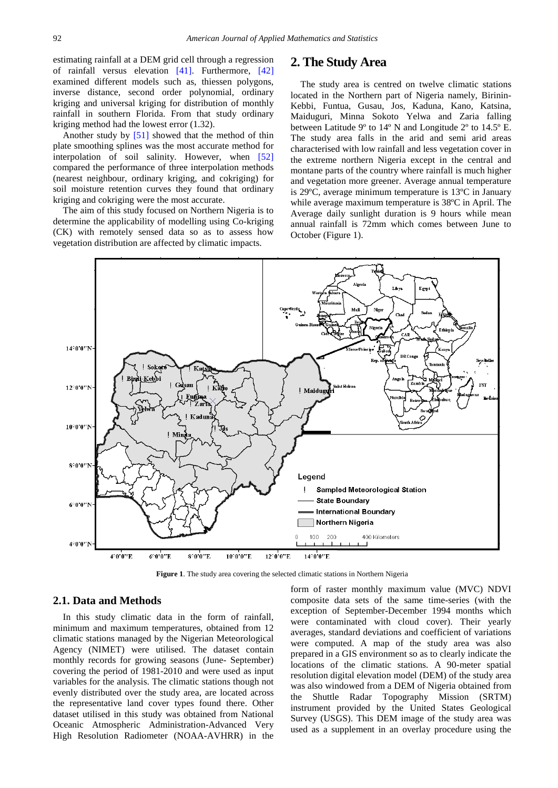estimating rainfall at a DEM grid cell through a regression of rainfall versus elevation [\[41\].](#page-7-25) Furthermore, [\[42\]](#page-7-26) examined different models such as, thiessen polygons, inverse distance, second order polynomial, ordinary kriging and universal kriging for distribution of monthly rainfall in southern Florida. From that study ordinary kriging method had the lowest error (1.32).

Another study by [\[51\]](#page-8-0) showed that the method of thin plate smoothing splines was the most accurate method for interpolation of soil salinity. However, when [\[52\]](#page-8-1) compared the performance of three interpolation methods (nearest neighbour, ordinary kriging, and cokriging) for soil moisture retention curves they found that ordinary kriging and cokriging were the most accurate.

The aim of this study focused on Northern Nigeria is to determine the applicability of modelling using Co-kriging (CK) with remotely sensed data so as to assess how vegetation distribution are affected by climatic impacts.

#### **2. The Study Area**

The study area is centred on twelve climatic stations located in the Northern part of Nigeria namely, Birinin-Kebbi, Funtua, Gusau, Jos, Kaduna, Kano, Katsina, Maiduguri, Minna Sokoto Yelwa and Zaria falling between Latitude 9º to 14º N and Longitude 2º to 14.5º E. The study area falls in the arid and semi arid areas characterised with low rainfall and less vegetation cover in the extreme northern Nigeria except in the central and montane parts of the country where rainfall is much higher and vegetation more greener. Average annual temperature is 29ºC, average minimum temperature is 13ºC in January while average maximum temperature is 38ºC in April. The Average daily sunlight duration is 9 hours while mean annual rainfall is 72mm which comes between June to October (Figure 1).



**Figure 1**. The study area covering the selected climatic stations in Northern Nigeria

#### **2.1. Data and Methods**

In this study climatic data in the form of rainfall, minimum and maximum temperatures, obtained from 12 climatic stations managed by the Nigerian Meteorological Agency (NIMET) were utilised. The dataset contain monthly records for growing seasons (June- September) covering the period of 1981-2010 and were used as input variables for the analysis. The climatic stations though not evenly distributed over the study area, are located across the representative land cover types found there. Other dataset utilised in this study was obtained from National Oceanic Atmospheric Administration-Advanced Very High Resolution Radiometer (NOAA-AVHRR) in the

form of raster monthly maximum value (MVC) NDVI composite data sets of the same time-series (with the exception of September-December 1994 months which were contaminated with cloud cover). Their yearly averages, standard deviations and coefficient of variations were computed. A map of the study area was also prepared in a GIS environment so as to clearly indicate the locations of the climatic stations. A 90-meter spatial resolution digital elevation model (DEM) of the study area was also windowed from a DEM of Nigeria obtained from the Shuttle Radar Topography Mission (SRTM) instrument provided by the United States Geological Survey (USGS). This DEM image of the study area was used as a supplement in an overlay procedure using the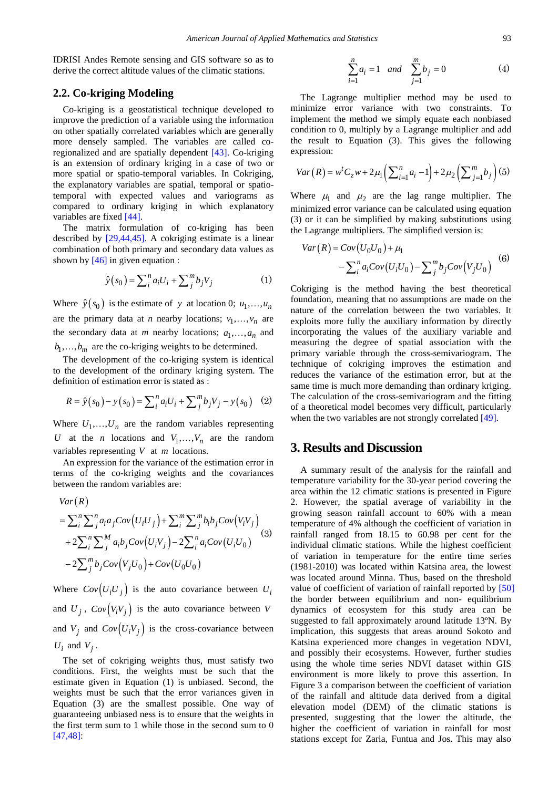IDRISI Andes Remote sensing and GIS software so as to derive the correct altitude values of the climatic stations.

#### **2.2. Co-kriging Modeling**

Co-kriging is a geostatistical technique developed to improve the prediction of a variable using the information on other spatially correlated variables which are generally more densely sampled. The variables are called coregionalized and are spatially dependent [\[43\].](#page-7-27) Co-kriging is an extension of ordinary kriging in a case of two or more spatial or spatio-temporal variables. In Cokriging, the explanatory variables are spatial, temporal or spatiotemporal with expected values and variograms as compared to ordinary kriging in which explanatory variables are fixed [\[44\].](#page-7-28)

The matrix formulation of co-kriging has been described by [\[29,44,45\].](#page-7-18) A cokriging estimate is a linear combination of both primary and secondary data values as shown by  $[46]$  in given equation :

$$
\hat{y}(s_0) = \sum_{i=1}^{n} a_i U_i + \sum_{j=1}^{m} b_j V_j \tag{1}
$$

Where  $\hat{y}(s_0)$  is the estimate of *y* at location 0;  $u_1, \dots, u_n$ are the primary data at *n* nearby locations;  $v_1, \ldots, v_n$  are the secondary data at *m* nearby locations;  $a_1, \ldots, a_n$  and  $b_1, \ldots, b_m$  are the co-kriging weights to be determined.

The development of the co-kriging system is identical to the development of the ordinary kriging system. The definition of estimation error is stated as :

$$
R = \hat{y}(s_0) - y(s_0) = \sum_{i}^{n} a_i U_i + \sum_{j}^{m} b_j V_j - y(s_0) \quad (2)
$$

Where  $U_1, \ldots, U_n$  are the random variables representing *U* at the *n* locations and  $V_1, \ldots, V_n$  are the random variables representing *V* at *m* locations.

An expression for the variance of the estimation error in terms of the co-kriging weights and the covariances between the random variables are:

$$
Var(R)
$$
  
=  $\sum_{i}^{n} \sum_{j}^{n} a_{i} a_{j} Cov(U_{i}U_{j}) + \sum_{i}^{m} \sum_{j}^{m} b_{i} b_{j} Cov(V_{i}V_{j})$   
+  $2\sum_{i}^{n} \sum_{j}^{M} a_{i} b_{j} Cov(U_{i}V_{j}) - 2\sum_{i}^{n} a_{i} Cov(U_{i}U_{0})$   
-  $2\sum_{j}^{m} b_{j} Cov(V_{j}U_{0}) + Cov(U_{0}U_{0})$  (3)

Where  $Cov(U_iU_j)$  is the auto covariance between  $U_i$ and  $U_i$ ,  $Cov(V_iV_i)$  is the auto covariance between *V* and  $V_i$  and  $Cov(U_iV_i)$  is the cross-covariance between  $U_i$  and  $V_j$ .

The set of cokriging weights thus, must satisfy two conditions. First, the weights must be such that the estimate given in Equation (1) is unbiased. Second, the weights must be such that the error variances given in Equation (3) are the smallest possible. One way of guaranteeing unbiased ness is to ensure that the weights in the first term sum to 1 while those in the second sum to 0 [\[47,48\]:](#page-8-3)

$$
\sum_{i=1}^{n} a_i = 1 \quad and \quad \sum_{j=1}^{m} b_j = 0 \tag{4}
$$

The Lagrange multiplier method may be used to minimize error variance with two constraints. To implement the method we simply equate each nonbiased condition to 0, multiply by a Lagrange multiplier and add the result to Equation (3). This gives the following expression:

$$
Var(R) = w^{t} C_{z} w + 2\mu_{1} \left( \sum_{i=1}^{n} a_{i} - 1 \right) + 2\mu_{2} \left( \sum_{j=1}^{m} b_{j} \right) (5)
$$

Where  $\mu_1$  and  $\mu_2$  are the lag range multiplier. The minimized error variance can be calculated using equation (3) or it can be simplified by making substitutions using the Lagrange multipliers. The simplified version is:

$$
Var(R) = Cov(U_0U_0) + \mu_1
$$
  
-  $\sum_i^n a_i Cov(U_iU_0) - \sum_j^m b_j Cov(V_jU_0)$  (6)

Cokriging is the method having the best theoretical foundation, meaning that no assumptions are made on the nature of the correlation between the two variables. It exploits more fully the auxiliary information by directly incorporating the values of the auxiliary variable and measuring the degree of spatial association with the primary variable through the cross-semivariogram. The technique of cokriging improves the estimation and reduces the variance of the estimation error, but at the same time is much more demanding than ordinary kriging. The calculation of the cross-semivariogram and the fitting of a theoretical model becomes very difficult, particularly when the two variables are not strongly correlated [\[49\].](#page-8-4)

# **3. Results and Discussion**

A summary result of the analysis for the rainfall and temperature variability for the 30-year period covering the area within the 12 climatic stations is presented in Figure 2. However, the spatial average of variability in the growing season rainfall account to 60% with a mean temperature of 4% although the coefficient of variation in rainfall ranged from 18.15 to 60.98 per cent for the individual climatic stations. While the highest coefficient of variation in temperature for the entire time series (1981-2010) was located within Katsina area, the lowest was located around Minna. Thus, based on the threshold value of coefficient of variation of rainfall reported by [\[50\]](#page-8-5) the border between equilibrium and non- equilibrium dynamics of ecosystem for this study area can be suggested to fall approximately around latitude 13ºN. By implication, this suggests that areas around Sokoto and Katsina experienced more changes in vegetation NDVI, and possibly their ecosystems. However, further studies using the whole time series NDVI dataset within GIS environment is more likely to prove this assertion. In Figure 3 a comparison between the coefficient of variation of the rainfall and altitude data derived from a digital elevation model (DEM) of the climatic stations is presented, suggesting that the lower the altitude, the higher the coefficient of variation in rainfall for most stations except for Zaria, Funtua and Jos. This may also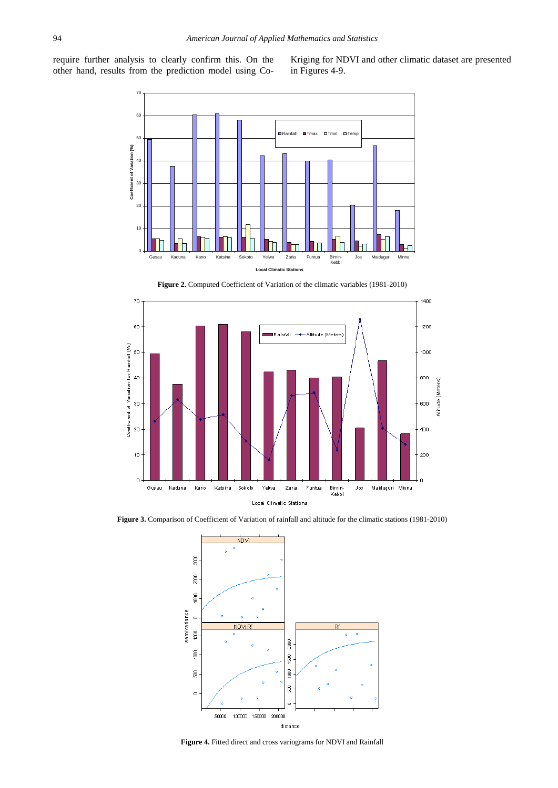require further analysis to clearly confirm this. On the other hand, results from the prediction model using CoKriging for NDVI and other climatic dataset are presented in Figures 4-9.



**Figure 2.** Computed Coefficient of Variation of the climatic variables (1981-2010)



**Figure 3.** Comparison of Coefficient of Variation of rainfall and altitude for the climatic stations (1981-2010)



**Figure 4.** Fitted direct and cross variograms for NDVI and Rainfall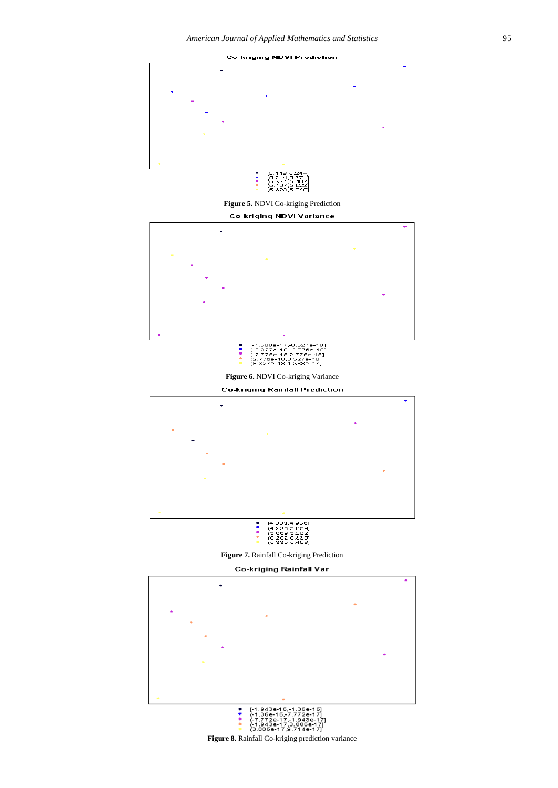

**Figure 5.** NDVI Co-kriging Prediction

**Co-kriging NDVI Variance** 







**Figure 7.** Rainfall Co-kriging Prediction

**Co-kriging Rainfall Var** 

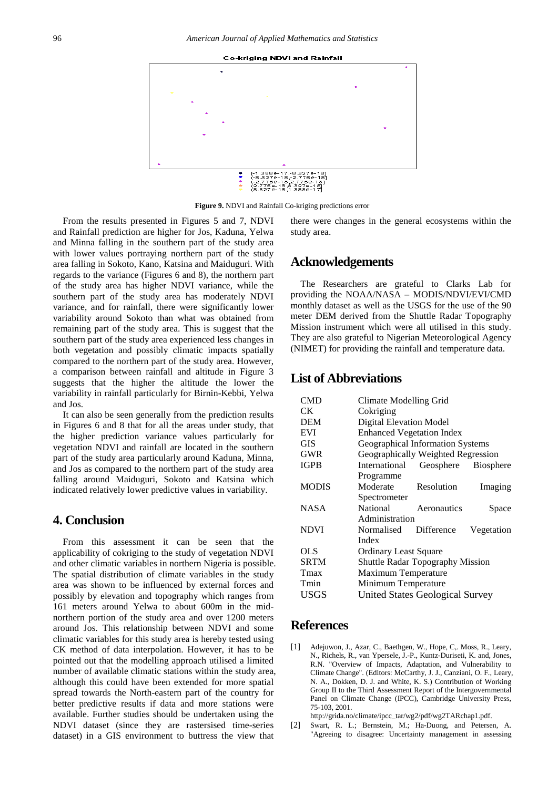**Co-kriging NDVI and Rainfall** 



**Figure 9.** NDVI and Rainfall Co-kriging predictions error

From the results presented in Figures 5 and 7, NDVI and Rainfall prediction are higher for Jos, Kaduna, Yelwa and Minna falling in the southern part of the study area with lower values portraying northern part of the study area falling in Sokoto, Kano, Katsina and Maiduguri. With regards to the variance (Figures 6 and 8), the northern part of the study area has higher NDVI variance, while the southern part of the study area has moderately NDVI variance, and for rainfall, there were significantly lower variability around Sokoto than what was obtained from remaining part of the study area. This is suggest that the southern part of the study area experienced less changes in both vegetation and possibly climatic impacts spatially compared to the northern part of the study area. However, a comparison between rainfall and altitude in Figure 3 suggests that the higher the altitude the lower the variability in rainfall particularly for Birnin-Kebbi, Yelwa and Jos.

It can also be seen generally from the prediction results in Figures 6 and 8 that for all the areas under study, that the higher prediction variance values particularly for vegetation NDVI and rainfall are located in the southern part of the study area particularly around Kaduna, Minna, and Jos as compared to the northern part of the study area falling around Maiduguri, Sokoto and Katsina which indicated relatively lower predictive values in variability.

### **4. Conclusion**

From this assessment it can be seen that the applicability of cokriging to the study of vegetation NDVI and other climatic variables in northern Nigeria is possible. The spatial distribution of climate variables in the study area was shown to be influenced by external forces and possibly by elevation and topography which ranges from 161 meters around Yelwa to about 600m in the midnorthern portion of the study area and over 1200 meters around Jos. This relationship between NDVI and some climatic variables for this study area is hereby tested using CK method of data interpolation. However, it has to be pointed out that the modelling approach utilised a limited number of available climatic stations within the study area, although this could have been extended for more spatial spread towards the North-eastern part of the country for better predictive results if data and more stations were available. Further studies should be undertaken using the NDVI dataset (since they are rastersised time-series dataset) in a GIS environment to buttress the view that

there were changes in the general ecosystems within the study area.

# **Acknowledgements**

The Researchers are grateful to Clarks Lab for providing the NOAA/NASA – MODIS/NDVI/EVI/CMD monthly dataset as well as the USGS for the use of the 90 meter DEM derived from the Shuttle Radar Topography Mission instrument which were all utilised in this study. They are also grateful to Nigerian Meteorological Agency (NIMET) for providing the rainfall and temperature data.

## **List of Abbreviations**

| CMD          | Climate Modelling Grid                  |             |            |
|--------------|-----------------------------------------|-------------|------------|
| CK           | Cokriging                               |             |            |
| DEM          | <b>Digital Elevation Model</b>          |             |            |
| EVI          | <b>Enhanced Vegetation Index</b>        |             |            |
| GIS          | Geographical Information Systems        |             |            |
| GWR          | Geographically Weighted Regression      |             |            |
| <b>IGPB</b>  | International Geosphere Biosphere       |             |            |
|              | Programme                               |             |            |
| <b>MODIS</b> | Moderate Resolution                     |             | Imaging    |
|              | Spectrometer                            |             |            |
| <b>NASA</b>  | <b>National</b>                         | Aeronautics | Space      |
|              | Administration                          |             |            |
| <b>NDVI</b>  | Normalised                              | Difference  | Vegetation |
|              | Index                                   |             |            |
| OLS          | <b>Ordinary Least Square</b>            |             |            |
| <b>SRTM</b>  | <b>Shuttle Radar Topography Mission</b> |             |            |
| Tmax         | Maximum Temperature                     |             |            |
| Tmin         | Minimum Temperature                     |             |            |
| USGS         | <b>United States Geological Survey</b>  |             |            |

# **References**

<span id="page-6-0"></span>[1] Adejuwon, J., Azar, C., Baethgen, W., Hope, C,. Moss, R., Leary, N., Richels, R., van Ypersele, J.-P., Kuntz-Duriseti, K. and, Jones, R.N. "Overview of Impacts, Adaptation, and Vulnerability to Climate Change". (Editors: McCarthy, J. J., Canziani, O. F., Leary, N. A., Dokken, D. J. and White, K. S.) Contribution of Working Group II to the Third Assessment Report of the Intergovernmental Panel on Climate Change (IPCC), Cambridge University Press, 75-103, 2001.

http://grida.no/climate/ipcc\_tar/wg2/pdf/wg2TARchap1.pdf.

<span id="page-6-1"></span>[2] Swart, R. L.; Bernstein, M.; Ha-Duong, and Petersen, A. "Agreeing to disagree: Uncertainty management in assessing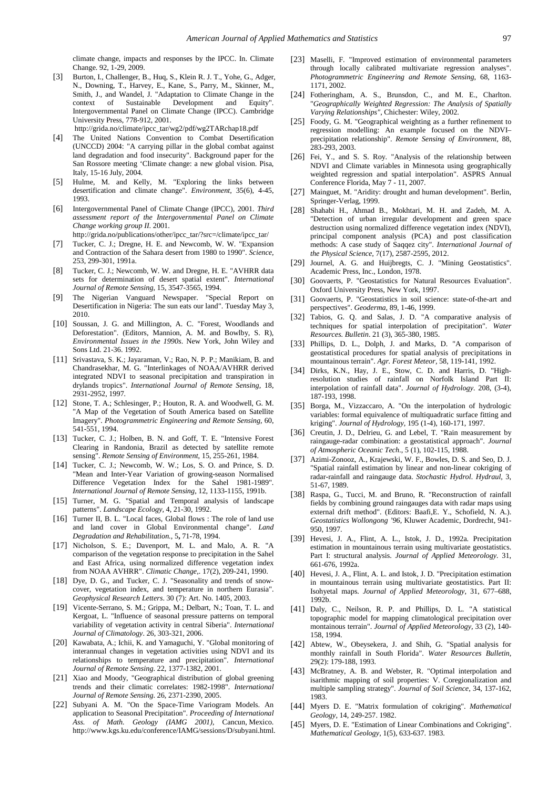climate change, impacts and responses by the IPCC. In. Climate Change. 92, 1-29, 2009.

- <span id="page-7-0"></span>[3] Burton, I., Challenger, B., Huq, S., Klein R. J. T., Yohe, G., Adger, N., Downing, T., Harvey, E., Kane, S., Parry, M., Skinner, M., Smith, J., and Wandel, J. "Adaptation to Climate Change in the context of Sustainable Development and Equity". Intergovernmental Panel on Climate Change (IPCC). Cambridge University Press, 778-912, 2001. http://grida.no/climate/ipcc\_tar/wg2/pdf/wg2TARchap18.pdf
- <span id="page-7-1"></span>[4] The United Nations Convention to Combat Desertification (UNCCD) 2004: "A carrying pillar in the global combat against land degradation and food insecurity". Background paper for the San Rossore meeting 'Climate change: a new global vision. Pisa, Italy, 15-16 July, 2004.
- <span id="page-7-2"></span>[5] Hulme, M. and Kelly, M. "Exploring the links between desertification and climate change". *Environment,* 35(6), 4-45, 1993.
- <span id="page-7-3"></span>[6] Intergovernmental Panel of Climate Change (IPCC), 2001. *Third assessment report of the Intergovernmental Panel on Climate Change working group II*. 2001.
- http://grida.no/publications/other/ipcc\_tar/?src=/climate/ipcc\_tar/
- <span id="page-7-4"></span>[7] Tucker, C. J.; Dregne, H. E. and Newcomb, W. W. "Expansion and Contraction of the Sahara desert from 1980 to 1990". *Science,*  253, 299-301, 1991a.
- [8] Tucker, C. J.; Newcomb, W. W. and Dregne, H. E. "AVHRR data sets for determination of desert spatial extent". *International Journal of Remote Sensing,* 15, 3547-3565, 1994.
- <span id="page-7-5"></span>[9] The Nigerian Vanguard Newspaper. "Special Report on Desertification in Nigeria: The sun eats our land". Tuesday May 3, 2010.
- <span id="page-7-6"></span>[10] Soussan, J. G. and Millington, A. C. "Forest, Woodlands and Deforestation". (Editors, Mannion, A. M. and Bowlby, S. R), *Environmental Issues in the 1990s*. New York, John Wiley and Sons Ltd. 21-36. 1992.
- [11] Srivastava, S. K.; Jayaraman, V.; Rao, N. P. P.; Manikiam, B. and Chandrasekhar, M. G. "Interlinkages of NOAA/AVHRR derived integrated NDVI to seasonal precipitation and transpiration in drylands tropics". *International Journal of Remote Sensing,* 18, 2931-2952, 1997*.*
- [12] Stone, T. A.; Schlesinger, P.; Houton, R. A. and Woodwell, G. M. "A Map of the Vegetation of South America based on Satellite Imagery". *Photogrammetric Engineering and Remote Sensing,* 60, 541-551, 1994.
- [13] Tucker, C. J.; Holben, B. N. and Goff, T. E. "Intensive Forest Clearing in Randonia, Brazil as detected by satellite remote sensing". *Remote Sensing of Environment*, 15, 255-261, 1984.
- [14] Tucker, C. J.; Newcomb, W. W.; Los, S. O. and Prince, S. D. "Mean and Inter-Year Variation of growing-season Normalised Difference Vegetation Index for the Sahel 1981-1989". *International Journal of Remote Sensing*, 12, 1133-1155, 1991b.
- [15] Turner, M. G. "Spatial and Temporal analysis of landscape patterns". *Landscape Ecology,* 4, 21-30, 1992.
- [16] Turner II, B. L. "Local faces, Global flows : The role of land use and land cover in Global Environmental change". *Land Degradation and Rehabilitation.,* 5**,** 71-78, 1994.
- <span id="page-7-7"></span>[17] Nicholson, S. E.; Davenport, M. L. and Malo, A. R. "A comparison of the vegetation response to precipitation in the Sahel and East Africa, using normalized difference vegetation index from NOAA AVHRR". *Climatic Change,*. 17(2), 209-241, 1990.
- <span id="page-7-8"></span>[18] Dye, D. G., and Tucker, C. J. "Seasonality and trends of snowcover, vegetation index, and temperature in northern Eurasia". *Geophysical Research Letters*. 30 (7): Art. No. 1405, 2003.
- [19] Vicente-Serrano, S. M.; Grippa, M.; Delbart, N.; Toan, T. L. and Kergoat, L. "Influence of seasonal pressure patterns on temporal variability of vegetation activity in central Siberia". *International Journal of Climatology*. 26, 303-321, 2006.
- <span id="page-7-9"></span>[20] Kawabata, A.; Ichii, K. and Yamaguchi, Y. "Global monitoring of interannual changes in vegetation activities using NDVI and its relationships to temperature and precipitation<sup>"</sup>. *International Journal of Remote Sensing*. 22, 1377-1382, 2001.
- <span id="page-7-10"></span>[21] Xiao and Moody, "Geographical distribution of global greening trends and their climatic correlates: 1982-1998". *International Journal of Remote Sensing*. 26, 2371-2390, 2005.
- <span id="page-7-11"></span>[22] Subyani A. M. "On the Space-Time Variogram Models. An application to Seasonal Precipitation". *Proceeding of International Ass. of Math. Geology (IAMG 2001),* Cancun, Mexico. http://www.kgs.ku.edu/conference/IAMG/sessions/D/subyani.html.
- <span id="page-7-12"></span>[23] Maselli, F. "Improved estimation of environmental parameters through locally calibrated multivariate regression analyses". *Photogrammetric Engineering and Remote Sensing,* 68, 1163- 1171, 2002.
- <span id="page-7-13"></span>[24] Fotheringham, A. S., Brunsdon, C., and M. E., Charlton. "*Geographically Weighted Regression: The Analysis of Spatially Varying Relationships"*, Chichester: Wiley, 2002.
- <span id="page-7-14"></span>[25] Foody, G. M. "Geographical weighting as a further refinement to regression modelling: An example focused on the NDVI– precipitation relationship". *Remote Sensing of Environment,* 88, 283-293, 2003.
- <span id="page-7-15"></span>[26] Fei, Y., and S. S. Roy. "Analysis of the relationship between NDVI and Climate variables in Minnesota using geographically weighted regression and spatial interpolation". ASPRS Annual Conference Florida, May 7 - 11, 2007.
- <span id="page-7-16"></span>[27] Mainguet, M. "Aridity: drought and human development". Berlin, Springer-Verlag, 1999.
- <span id="page-7-17"></span>[28] Shahabi H., Ahmad B., Mokhtari, M. H. and Zadeh, M. A. "Detection of urban irregular development and green space destruction using normalized difference vegetation index (NDVI), principal component analysis (PCA) and post classification methods: A case study of Saqqez city". *International Journal of the Physical Science,* 7(17), 2587-2595, 2012.
- <span id="page-7-18"></span>[29] Journel, A. G. and Huijbregts, C. J. "Mining Geostatistics". Academic Press, Inc., London, 1978.
- [30] Goovaerts, P. "Geostatistics for Natural Resources Evaluation". Oxford University Press, New York, 1997.
- [31] Goovaerts, P. "Geostatistics in soil science: state-of-the-art and perspectives". *Geoderma,* 89, 1-46, 1999.
- <span id="page-7-19"></span>[32] Tabios, G. Q. and Salas, J. D. "A comparative analysis of techniques for spatial interpolation of precipitation". *Water Resources. Bulletin*. 21 (3), 365-380, 1985.
- [33] Phillips, D. L., Dolph, J. and Marks, D. "A comparison of geostatistical procedures for spatial analysis of precipitations in mountainous terrain". *Agr. Forest Meteor,* 58, 119-141, 1992.
- <span id="page-7-20"></span>[34] Dirks, K.N., Hay, J. E., Stow, C. D. and Harris, D. "Highresolution studies of rainfall on Norfolk Island Part II: interpolation of rainfall data". *Journal of Hydrology.* 208, (3-4), 187-193, 1998.
- <span id="page-7-21"></span>[35] Borga, M., Vizzaccaro, A. "On the interpolation of hydrologic variables: formal equivalence of multiquadratic surface fitting and kriging". *Journal of Hydrology,* 195 (1-4), 160-171, 1997.
- <span id="page-7-22"></span>[36] Creutin, J. D., Delrieu, G. and Lebel, T. "Rain measurement by raingauge-radar combination: a geostatistical approach". *Journal of Atmospheric Oceanic Tech*., 5 (1), 102-115, 1988.
- [37] Azimi-Zonooz, A., Krajewski, W. F., Bowles, D. S. and Seo, D. J. "Spatial rainfall estimation by linear and non-linear cokriging of radar-rainfall and raingauge data. *Stochastic Hydrol. Hydraul,* 3, 51-67, 1989.
- <span id="page-7-23"></span>[38] Raspa, G., Tucci, M. and Bruno, R. "Reconstruction of rainfall fields by combining ground raingauges data with radar maps using external drift method". (Editors: Baafi,E. Y., Schofield, N. A.). *Geostatistics Wollongong '96*, Kluwer Academic, Dordrecht, 941- 950, 1997.
- <span id="page-7-24"></span>[39] Hevesi, J. A., Flint, A. L., Istok, J. D., 1992a. Precipitation estimation in mountainous terrain using multivariate geostatistics. Part I: structural analysis. *Journal of Applied Meteorology.* 31, 661-676, 1992a.
- [40] Hevesi, J. A., Flint, A. L. and Istok, J. D. "Precipitation estimation in mountainous terrain using multivariate geostatistics. Part II: Isohyetal maps. *Journal of Applied Meteorology*, 31, 677–688, 1992b.
- <span id="page-7-25"></span>[41] Daly, C., Neilson, R. P. and Phillips, D. L. "A statistical topographic model for mapping climatological precipitation over montainous terrain". *Journal of Applied Meteorology,* 33 (2), 140- 158, 1994.
- <span id="page-7-26"></span>[42] Abtew, W., Obeysekera, J. and Shih, G. "Spatial analysis for monthly rainfall in South Florida". *Water Resources Bulletin,* 29(2): 179-188, 1993.
- <span id="page-7-27"></span>[43] McBratney, A. B. and Webster, R. "Optimal interpolation and isarithmic mapping of soil properties: V. Coregionalization and multiple sampling strategy". *Journal of Soil Science*, 34, 137-162, 1983.
- <span id="page-7-28"></span>[44] Myers D. E. "Matrix formulation of cokriging". *Mathematical Geology,* 14, 249-257. 1982.
- [45] Myers, D. E. "Estimation of Linear Combinations and Cokriging". *Mathematical Geology,* 1(5), 633-637. 1983.